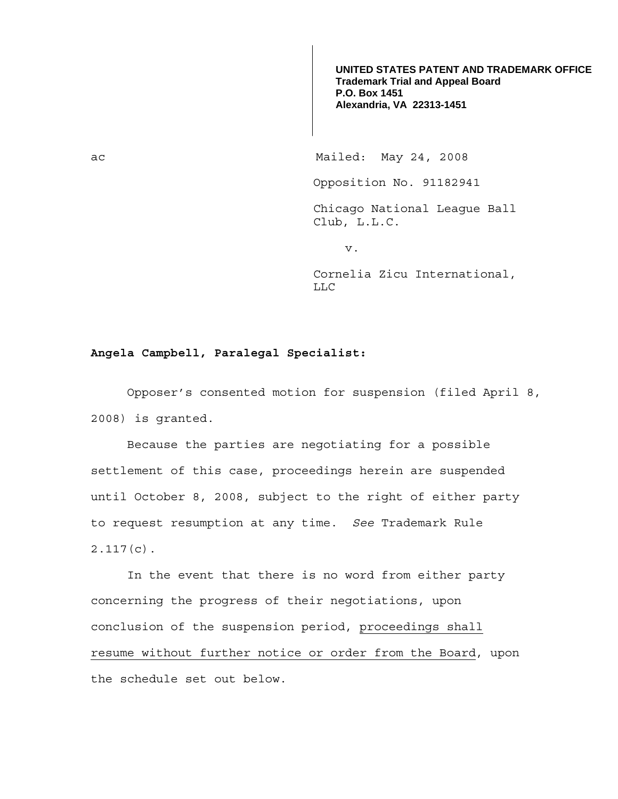**UNITED STATES PATENT AND TRADEMARK OFFICE Trademark Trial and Appeal Board P.O. Box 1451 Alexandria, VA 22313-1451**

ac Mailed: May 24, 2008

Opposition No. 91182941

Chicago National League Ball Club, L.L.C.

v.

Cornelia Zicu International, LLC

## **Angela Campbell, Paralegal Specialist:**

 Opposer's consented motion for suspension (filed April 8, 2008) is granted.

 Because the parties are negotiating for a possible settlement of this case, proceedings herein are suspended until October 8, 2008, subject to the right of either party to request resumption at any time. *See* Trademark Rule 2.117(c).

 In the event that there is no word from either party concerning the progress of their negotiations, upon conclusion of the suspension period, proceedings shall resume without further notice or order from the Board, upon the schedule set out below.